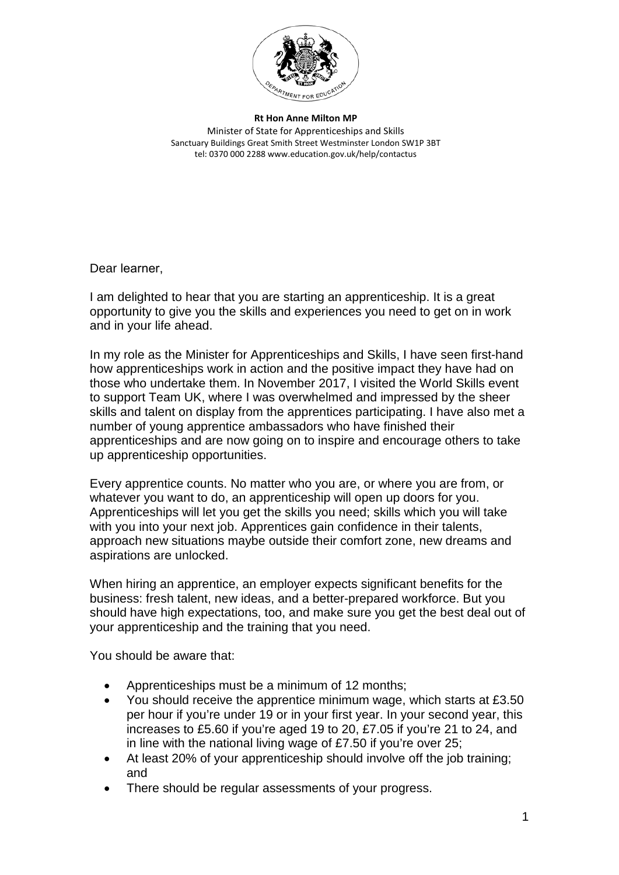

**Rt Hon Anne Milton MP** Minister of State for Apprenticeships and Skills Sanctuary Buildings Great Smith Street Westminster London SW1P 3BT tel: 0370 000 2288 www.education.gov.uk/help/contactus

Dear learner,

I am delighted to hear that you are starting an apprenticeship. It is a great opportunity to give you the skills and experiences you need to get on in work and in your life ahead.

In my role as the Minister for Apprenticeships and Skills, I have seen first-hand how apprenticeships work in action and the positive impact they have had on those who undertake them. In November 2017, I visited the World Skills event to support Team UK, where I was overwhelmed and impressed by the sheer skills and talent on display from the apprentices participating. I have also met a number of young apprentice ambassadors who have finished their apprenticeships and are now going on to inspire and encourage others to take up apprenticeship opportunities.

Every apprentice counts. No matter who you are, or where you are from, or whatever you want to do, an apprenticeship will open up doors for you. Apprenticeships will let you get the skills you need; skills which you will take with you into your next job. Apprentices gain confidence in their talents, approach new situations maybe outside their comfort zone, new dreams and aspirations are unlocked.

When hiring an apprentice, an employer expects significant benefits for the business: fresh talent, new ideas, and a better-prepared workforce. But you should have high expectations, too, and make sure you get the best deal out of your apprenticeship and the training that you need.

You should be aware that:

- Apprenticeships must be a minimum of 12 months;
- You should receive the apprentice minimum wage, which starts at £3.50 per hour if you're under 19 or in your first year. In your second year, this increases to £5.60 if you're aged 19 to 20, £7.05 if you're 21 to 24, and in line with the national living wage of £7.50 if you're over 25;
- At least 20% of your apprenticeship should involve off the job training; and
- There should be regular assessments of your progress.